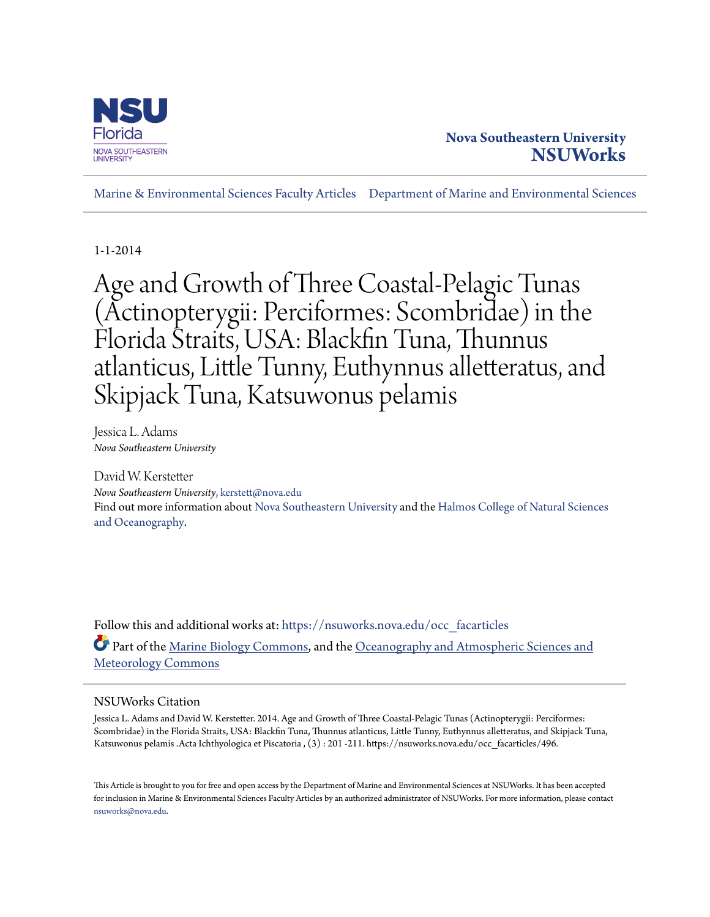

# **Nova Southeastern University [NSUWorks](https://nsuworks.nova.edu?utm_source=nsuworks.nova.edu%2Focc_facarticles%2F496&utm_medium=PDF&utm_campaign=PDFCoverPages)**

[Marine & Environmental Sciences Faculty Articles](https://nsuworks.nova.edu/occ_facarticles?utm_source=nsuworks.nova.edu%2Focc_facarticles%2F496&utm_medium=PDF&utm_campaign=PDFCoverPages) [Department of Marine and Environmental Sciences](https://nsuworks.nova.edu/cnso_mes?utm_source=nsuworks.nova.edu%2Focc_facarticles%2F496&utm_medium=PDF&utm_campaign=PDFCoverPages)

1-1-2014

Age and Growth of Three Coastal-Pelagic Tunas (Actinopterygii: Perciformes: Scombridae) in the Florida Straits, USA: Blackfin Tuna, Thunnus atlanticus, Little Tunny, Euthynnus alletteratus, and Skipjack Tuna, Katsuwonus pelamis

Jessica L. Adams *Nova Southeastern University*

David W. Kerstetter *Nova Southeastern University*, kerstett@nova.edu Find out more information about [Nova Southeastern University](http://www.nova.edu/) and the [Halmos College of Natural Sciences](https://cnso.nova.edu) [and Oceanography.](https://cnso.nova.edu)

Follow this and additional works at: [https://nsuworks.nova.edu/occ\\_facarticles](https://nsuworks.nova.edu/occ_facarticles?utm_source=nsuworks.nova.edu%2Focc_facarticles%2F496&utm_medium=PDF&utm_campaign=PDFCoverPages) Part of the [Marine Biology Commons,](http://network.bepress.com/hgg/discipline/1126?utm_source=nsuworks.nova.edu%2Focc_facarticles%2F496&utm_medium=PDF&utm_campaign=PDFCoverPages) and the [Oceanography and Atmospheric Sciences and](http://network.bepress.com/hgg/discipline/186?utm_source=nsuworks.nova.edu%2Focc_facarticles%2F496&utm_medium=PDF&utm_campaign=PDFCoverPages) [Meteorology Commons](http://network.bepress.com/hgg/discipline/186?utm_source=nsuworks.nova.edu%2Focc_facarticles%2F496&utm_medium=PDF&utm_campaign=PDFCoverPages)

## NSUWorks Citation

Jessica L. Adams and David W. Kerstetter. 2014. Age and Growth of Three Coastal-Pelagic Tunas (Actinopterygii: Perciformes: Scombridae) in the Florida Straits, USA: Blackfin Tuna, Thunnus atlanticus, Little Tunny, Euthynnus alletteratus, and Skipjack Tuna, Katsuwonus pelamis .Acta Ichthyologica et Piscatoria , (3) : 201 -211. https://nsuworks.nova.edu/occ\_facarticles/496.

This Article is brought to you for free and open access by the Department of Marine and Environmental Sciences at NSUWorks. It has been accepted for inclusion in Marine & Environmental Sciences Faculty Articles by an authorized administrator of NSUWorks. For more information, please contact [nsuworks@nova.edu.](mailto:nsuworks@nova.edu)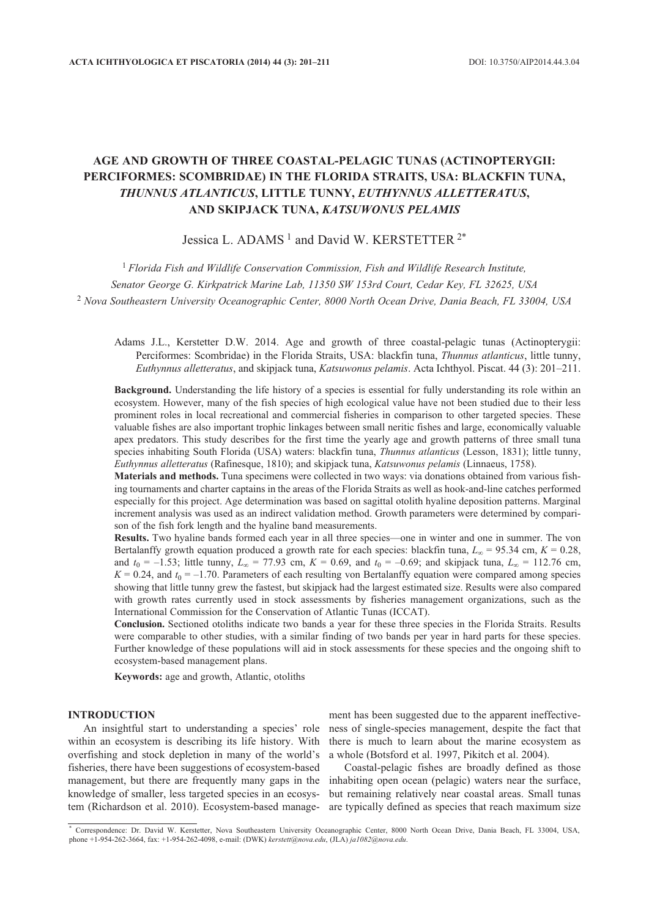## **AGE AND GROWTH OF THREE COASTAL-PELAGIC TUNAS (ACTINOPTERYGII: PERCIFORMES: SCOMBRIDAE) IN THE FLORIDA STRAITS, USA: BLACKFIN TUNA,** *THUNNUS ATLANTICUS***, LITTLE TUNNY,** *EUTHYNNUS ALLETTERATUS***, AND SKIPJACK TUNA,** *KATSUWONUS PELAMIS*

## Jessica L. ADAMS<sup>1</sup> and David W. KERSTETTER<sup>2\*</sup>

<sup>1</sup> *Florida Fish and Wildlife Conservation Commission, Fish and Wildlife Research Institute, Senator George G. Kirkpatrick Marine Lab, 11350 SW 153rd Court, Cedar Key, FL 32625, USA* <sup>2</sup> *Nova Southeastern University Oceanographic Center, 8000 North Ocean Drive, Dania Beach, FL 33004, USA*

Adams J.L., Kerstetter D.W. 2014. Age and growth of three coastal-pelagic tunas (Actinopterygii: Perciformes: Scombridae) in the Florida Straits, USA: blackfin tuna, *Thunnus atlanticus*, little tunny, *Euthynnus alletteratus*, and skipjack tuna, *Katsuwonus pelamis*. Acta Ichthyol. Piscat. 44 (3): 201–211.

**Background.** Understanding the life history of a species is essential for fully understanding its role within an ecosystem. However, many of the fish species of high ecological value have not been studied due to their less prominent roles in local recreational and commercial fisheries in comparison to other targeted species. These valuable fishes are also important trophic linkages between small neritic fishes and large, economically valuable apex predators. This study describes for the first time the yearly age and growth patterns of three small tuna species inhabiting South Florida (USA) waters: blackfin tuna, *Thunnus atlanticus* (Lesson, 1831); little tunny, *Euthynnus alletteratus* (Rafinesque, 1810); and skipjack tuna, *Katsuwonus pelamis* (Linnaeus, 1758).

**Materials and methods.** Tuna specimens were collected in two ways: via donations obtained from various fishing tournaments and charter captains in the areas of the Florida Straits as well as hook-and-line catches performed especially for this project. Age determination was based on sagittal otolith hyaline deposition patterns. Marginal increment analysis was used as an indirect validation method. Growth parameters were determined by comparison of the fish fork length and the hyaline band measurements.

**Results.** Two hyaline bands formed each year in all three species—one in winter and one in summer. The von Bertalanffy growth equation produced a growth rate for each species: blackfin tuna,  $L_{\infty} = 95.34$  cm,  $K = 0.28$ , and  $t_0 = -1.53$ ; little tunny,  $L_\infty = 77.93$  cm,  $K = 0.69$ , and  $t_0 = -0.69$ ; and skipjack tuna,  $L_\infty = 112.76$  cm,  $K = 0.24$ , and  $t_0 = -1.70$ . Parameters of each resulting von Bertalanffy equation were compared among species showing that little tunny grew the fastest, but skipjack had the largest estimated size. Results were also compared with growth rates currently used in stock assessments by fisheries management organizations, such as the International Commission for the Conservation of Atlantic Tunas (ICCAT).

**Conclusion.** Sectioned otoliths indicate two bands a year for these three species in the Florida Straits. Results were comparable to other studies, with a similar finding of two bands per year in hard parts for these species. Further knowledge of these populations will aid in stock assessments for these species and the ongoing shift to ecosystem-based management plans.

**Keywords:** age and growth, Atlantic, otoliths

#### **INTRODUCTION**

An insightful start to understanding a species' role within an ecosystem is describing its life history. With overfishing and stock depletion in many of the world's fisheries, there have been suggestions of ecosystem-based management, but there are frequently many gaps in the knowledge of smaller, less targeted species in an ecosystem (Richardson et al. 2010). Ecosystem-based manage-

ment has been suggested due to the apparent ineffectiveness of single-species management, despite the fact that there is much to learn about the marine ecosystem as a whole (Botsford et al. 1997, Pikitch et al. 2004).

Coastal-pelagic fishes are broadly defined as those inhabiting open ocean (pelagic) waters near the surface, but remaining relatively near coastal areas. Small tunas are typically defined as species that reach maximum size

<sup>\*</sup> Correspondence: Dr. David W. Kerstetter, Nova Southeastern University Oceanographic Center, 8000 North Ocean Drive, Dania Beach, FL 33004, USA, phone +1-954-262-3664, fax: +1-954-262-4098, e-mail: (DWK) *kerstett@nova.edu*, (JLA) *ja1082@nova.edu*.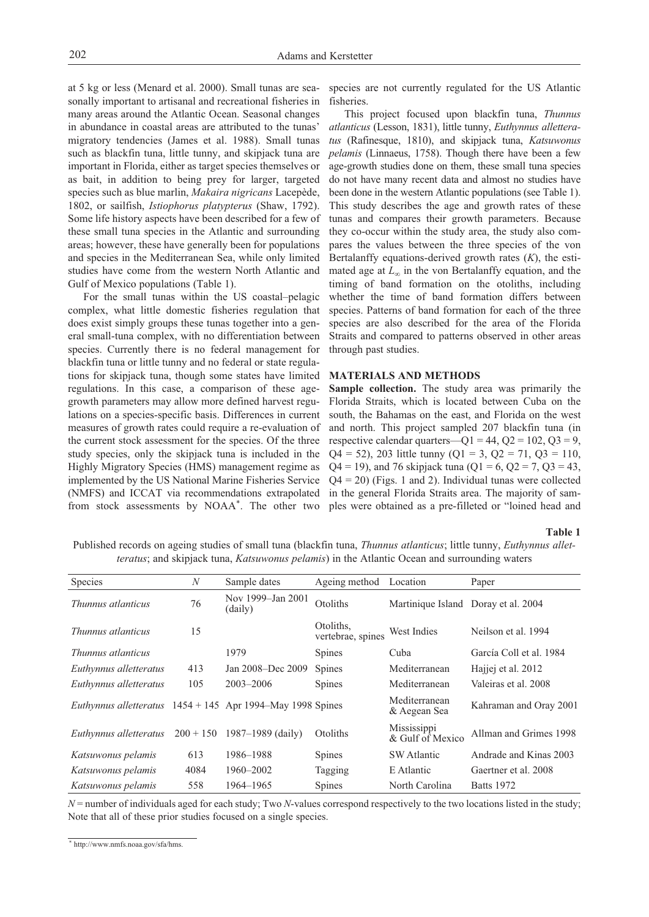at 5 kg or less (Menard et al. 2000). Small tunas are seasonally important to artisanal and recreational fisheries in many areas around the Atlantic Ocean. Seasonal changes in abundance in coastal areas are attributed to the tunas' migratory tendencies (James et al. 1988). Small tunas such as blackfin tuna, little tunny, and skipjack tuna are important in Florida, either as target species themselves or as bait, in addition to being prey for larger, targeted species such as blue marlin, *Makaira nigricans* Lacepède, 1802, or sailfish, *Istiophorus platypterus* (Shaw, 1792). Some life history aspects have been described for a few of these small tuna species in the Atlantic and surrounding areas; however, these have generally been for populations and species in the Mediterranean Sea, while only limited studies have come from the western North Atlantic and Gulf of Mexico populations (Table 1).

For the small tunas within the US coastal–pelagic complex, what little domestic fisheries regulation that does exist simply groups these tunas together into a general small-tuna complex, with no differentiation between species. Currently there is no federal management for blackfin tuna or little tunny and no federal or state regulations for skipjack tuna, though some states have limited regulations. In this case, a comparison of these agegrowth parameters may allow more defined harvest regulations on a species-specific basis. Differences in current measures of growth rates could require a re-evaluation of the current stock assessment for the species. Of the three study species, only the skipjack tuna is included in the Highly Migratory Species (HMS) management regime as implemented by the US National Marine Fisheries Service (NMFS) and ICCAT via recommendations extrapolated from stock assessments by NOAA\*. The other two

species are not currently regulated for the US Atlantic fisheries.

This project focused upon blackfin tuna, *Thunnus atlanticus* (Lesson, 1831), little tunny, *Euthynnus alletteratus* (Rafinesque, 1810), and skipjack tuna, *Katsuwonus pelamis* (Linnaeus, 1758). Though there have been a few age-growth studies done on them, these small tuna species do not have many recent data and almost no studies have been done in the western Atlantic populations (see Table 1). This study describes the age and growth rates of these tunas and compares their growth parameters. Because they co-occur within the study area, the study also compares the values between the three species of the von Bertalanffy equations-derived growth rates (*K*), the estimated age at *L∞* in the von Bertalanffy equation, and the timing of band formation on the otoliths, including whether the time of band formation differs between species. Patterns of band formation for each of the three species are also described for the area of the Florida Straits and compared to patterns observed in other areas through past studies.

#### **MATERIALS AND METHODS**

**Sample collection.** The study area was primarily the Florida Straits, which is located between Cuba on the south, the Bahamas on the east, and Florida on the west and north. This project sampled 207 blackfin tuna (in respective calendar quarters— $Q1 = 44$ ,  $Q2 = 102$ ,  $Q3 = 9$ ,  $Q4 = 52$ , 203 little tunny  $(Q1 = 3, Q2 = 71, Q3 = 110,$  $Q4 = 19$ ), and 76 skipjack tuna ( $Q1 = 6$ ,  $Q2 = 7$ ,  $Q3 = 43$ ,  $Q4 = 20$ ) (Figs. 1 and 2). Individual tunas were collected in the general Florida Straits area. The majority of samples were obtained as a pre-filleted or "loined head and

#### **Table 1**

Published records on ageing studies of small tuna (blackfin tuna, *Thunnus atlanticus*; little tunny, *Euthynnus alletteratus*; and skipjack tuna, *Katsuwonus pelamis*) in the Atlantic Ocean and surrounding waters

| <b>Species</b>                                                      | $\boldsymbol{N}$ | Sample dates                 | Ageing method                  | Location                            | Paper                   |
|---------------------------------------------------------------------|------------------|------------------------------|--------------------------------|-------------------------------------|-------------------------|
|                                                                     |                  |                              |                                |                                     |                         |
| Thunnus atlanticus                                                  | 76               | Nov 1999–Jan 2001<br>(daily) | Otoliths                       | Martinique Island Doray et al. 2004 |                         |
| Thunnus atlanticus                                                  | 15               |                              | Otoliths.<br>vertebrae, spines | West Indies                         | Neilson et al. 1994     |
| Thunnus atlanticus                                                  |                  | 1979                         | <b>Spines</b>                  | Cuba                                | García Coll et al. 1984 |
| Euthynnus alletteratus                                              | 413              | Jan 2008-Dec 2009            | <b>Spines</b>                  | Mediterranean                       | Hajjej et al. 2012      |
| Euthynnus alletteratus                                              | 105              | $2003 - 2006$                | <b>Spines</b>                  | Mediterranean                       | Valeiras et al. 2008    |
| <i>Euthynnus alletteratus</i> $1454 + 145$ Apr 1994–May 1998 Spines |                  |                              |                                | Mediterranean<br>& Aegean Sea       | Kahraman and Oray 2001  |
| Euthynnus alletteratus                                              | $200 + 150$      | $1987 - 1989$ (daily)        | Otoliths                       | Mississippi<br>& Gulf of Mexico     | Allman and Grimes 1998  |
| Katsuwonus pelamis                                                  | 613              | 1986–1988                    | <b>Spines</b>                  | <b>SW</b> Atlantic                  | Andrade and Kinas 2003  |
| Katsuwonus pelamis                                                  | 4084             | 1960–2002                    | Tagging                        | E Atlantic                          | Gaertner et al. 2008    |
| Katsuwonus pelamis                                                  | 558              | 1964–1965                    | <b>Spines</b>                  | North Carolina                      | <b>Batts</b> 1972       |

*N* = number of individuals aged for each study; Two *N*-values correspond respectively to the two locations listed in the study; Note that all of these prior studies focused on a single species.

<sup>\*</sup> http://www.nmfs.noaa.gov/sfa/hms.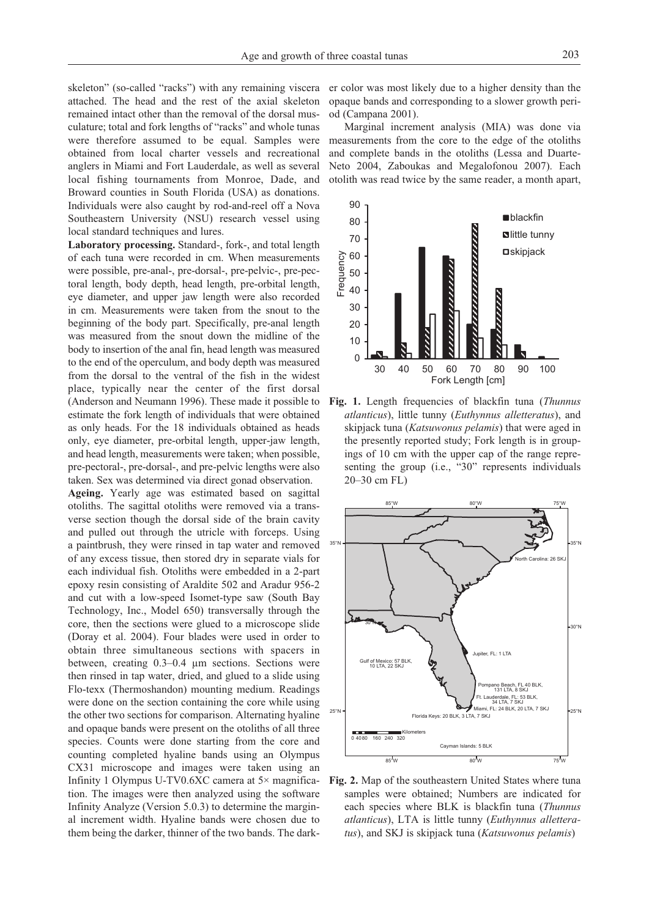skeleton" (so-called "racks") with any remaining viscera attached. The head and the rest of the axial skeleton remained intact other than the removal of the dorsal musculature; total and fork lengths of "racks" and whole tunas were therefore assumed to be equal. Samples were obtained from local charter vessels and recreational anglers in Miami and Fort Lauderdale, as well as several local fishing tournaments from Monroe, Dade, and Broward counties in South Florida (USA) as donations. Individuals were also caught by rod-and-reel off a Nova Southeastern University (NSU) research vessel using local standard techniques and lures.

**Laboratory processing.** Standard-, fork-, and total length of each tuna were recorded in cm. When measurements were possible, pre-anal-, pre-dorsal-, pre-pelvic-, pre-pectoral length, body depth, head length, pre-orbital length, eye diameter, and upper jaw length were also recorded in cm. Measurements were taken from the snout to the beginning of the body part. Specifically, pre-anal length was measured from the snout down the midline of the body to insertion of the anal fin, head length was measured to the end of the operculum, and body depth was measured from the dorsal to the ventral of the fish in the widest place, typically near the center of the first dorsal (Anderson and Neumann 1996). These made it possible to estimate the fork length of individuals that were obtained as only heads. For the 18 individuals obtained as heads only, eye diameter, pre-orbital length, upper-jaw length, and head length, measurements were taken; when possible, pre-pectoral-, pre-dorsal-, and pre-pelvic lengths were also taken. Sex was determined via direct gonad observation.

**Ageing.** Yearly age was estimated based on sagittal otoliths. The sagittal otoliths were removed via a transverse section though the dorsal side of the brain cavity and pulled out through the utricle with forceps. Using a paintbrush, they were rinsed in tap water and removed of any excess tissue, then stored dry in separate vials for each individual fish. Otoliths were embedded in a 2-part epoxy resin consisting of Araldite 502 and Aradur 956-2 and cut with a low-speed Isomet-type saw (South Bay Technology, Inc., Model 650) transversally through the core, then the sections were glued to a microscope slide (Doray et al. 2004). Four blades were used in order to obtain three simultaneous sections with spacers in between, creating 0.3–0.4 µm sections. Sections were then rinsed in tap water, dried, and glued to a slide using Flo-texx (Thermoshandon) mounting medium. Readings were done on the section containing the core while using the other two sections for comparison. Alternating hyaline and opaque bands were present on the otoliths of all three species. Counts were done starting from the core and counting completed hyaline bands using an Olympus CX31 microscope and images were taken using an Infinity 1 Olympus U-TV0.6XC camera at 5× magnification. The images were then analyzed using the software Infinity Analyze (Version 5.0.3) to determine the marginal increment width. Hyaline bands were chosen due to them being the darker, thinner of the two bands. The darker color was most likely due to a higher density than the opaque bands and corresponding to a slower growth period (Campana 2001).

Marginal increment analysis (MIA) was done via measurements from the core to the edge of the otoliths and complete bands in the otoliths (Lessa and Duarte-Neto 2004, Zaboukas and Megalofonou 2007). Each otolith was read twice by the same reader, a month apart,



**Fig. 1.** Length frequencies of blackfin tuna (*Thunnus atlanticus*), little tunny (*Euthynnus alletteratus*), and skipjack tuna (*Katsuwonus pelamis*) that were aged in the presently reported study; Fork length is in groupings of 10 cm with the upper cap of the range representing the group (i.e., "30" represents individuals 20–30 cm FL)



**Fig. 2.** Map of the southeastern United States where tuna samples were obtained; Numbers are indicated for each species where BLK is blackfin tuna (*Thunnus atlanticus*), LTA is little tunny (*Euthynnus alletteratus*), and SKJ is skipjack tuna (*Katsuwonus pelamis*)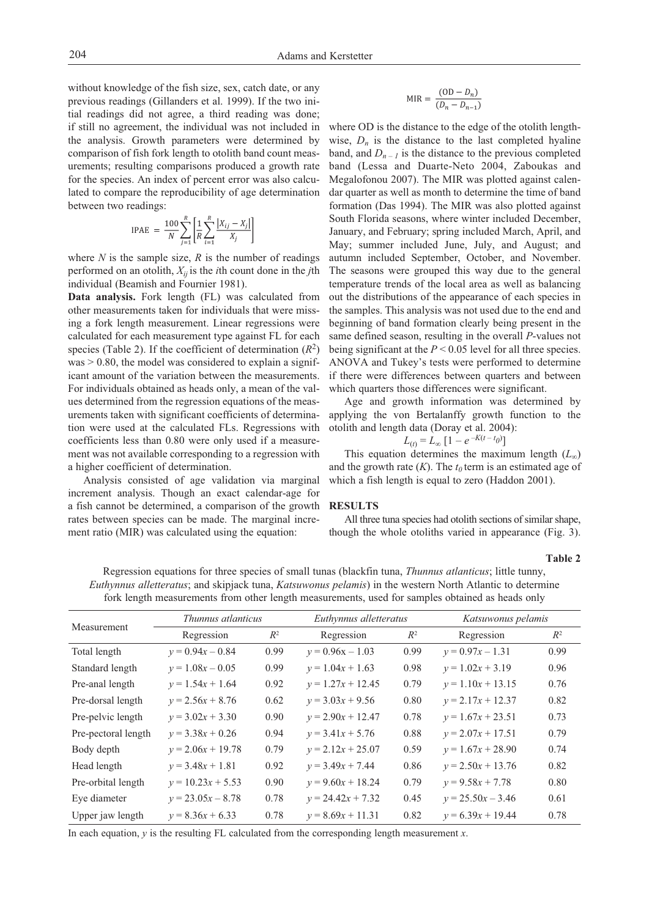without knowledge of the fish size, sex, catch date, or any previous readings (Gillanders et al. 1999). If the two initial readings did not agree, a third reading was done; if still no agreement, the individual was not included in the analysis. Growth parameters were determined by comparison of fish fork length to otolith band count measurements; resulting comparisons produced a growth rate for the species. An index of percent error was also calculated to compare the reproducibility of age determination between two readings:

$$
IPAE = \frac{100}{N} \sum_{j=1}^{R} \left[ \frac{1}{R} \sum_{i=1}^{R} \frac{|X_{ij} - X_j|}{X_j} \right]
$$

where  $N$  is the sample size,  $R$  is the number of readings performed on an otolith, *Xij* is the *i*th count done in the *j*th individual (Beamish and Fournier 1981).

**Data analysis.** Fork length (FL) was calculated from other measurements taken for individuals that were missing a fork length measurement. Linear regressions were calculated for each measurement type against FL for each species (Table 2). If the coefficient of determination  $(R^2)$  $was > 0.80$ , the model was considered to explain a significant amount of the variation between the measurements. For individuals obtained as heads only, a mean of the values determined from the regression equations of the measurements taken with significant coefficients of determination were used at the calculated FLs. Regressions with coefficients less than 0.80 were only used if a measurement was not available corresponding to a regression with a higher coefficient of determination.

Analysis consisted of age validation via marginal increment analysis. Though an exact calendar-age for a fish cannot be determined, a comparison of the growth rates between species can be made. The marginal increment ratio (MIR) was calculated using the equation:

$$
MIR = \frac{(OD - D_n)}{(D_n - D_{n-1})}
$$

where OD is the distance to the edge of the otolith lengthwise,  $D_n$  is the distance to the last completed hyaline band, and  $D_{n-1}$  is the distance to the previous completed band (Lessa and Duarte-Neto 2004, Zaboukas and Megalofonou 2007). The MIR was plotted against calendar quarter as well as month to determine the time of band formation (Das 1994). The MIR was also plotted against South Florida seasons, where winter included December, January, and February; spring included March, April, and May; summer included June, July, and August; and autumn included September, October, and November. The seasons were grouped this way due to the general temperature trends of the local area as well as balancing out the distributions of the appearance of each species in the samples. This analysis was not used due to the end and beginning of band formation clearly being present in the same defined season, resulting in the overall *P*-values not being significant at the *P* < 0.05 level for all three species. ANOVA and Tukey's tests were performed to determine if there were differences between quarters and between which quarters those differences were significant.

Age and growth information was determined by applying the von Bertalanffy growth function to the otolith and length data (Doray et al. 2004):

$$
L_{(t)} = L_{\infty} \left[ 1 - e^{-K(t - t_0)} \right]
$$

This equation determines the maximum length (*L∞*) and the growth rate  $(K)$ . The  $t_0$  term is an estimated age of which a fish length is equal to zero (Haddon 2001).

#### **RESULTS**

All three tuna species had otolith sections of similar shape. though the whole otoliths varied in appearance (Fig. 3).

**Table 2**

Regression equations for three species of small tunas (blackfin tuna, *Thunnus atlanticus*; little tunny, *Euthynnus alletteratus*; and skipjack tuna, *Katsuwonus pelamis*) in the western North Atlantic to determine fork length measurements from other length measurements, used for samples obtained as heads only

| Measurement         | Thunnus atlanticus  |       | Euthynnus alletteratus |       | Katsuwonus pelamis  |       |
|---------------------|---------------------|-------|------------------------|-------|---------------------|-------|
|                     | Regression          | $R^2$ | Regression             | $R^2$ | Regression          | $R^2$ |
| Total length        | $v = 0.94x - 0.84$  | 0.99  | $v = 0.96x - 1.03$     | 0.99  | $v = 0.97x - 1.31$  | 0.99  |
| Standard length     | $v = 1.08x - 0.05$  | 0.99  | $v = 1.04x + 1.63$     | 0.98  | $v = 1.02x + 3.19$  | 0.96  |
| Pre-anal length     | $v = 1.54x + 1.64$  | 0.92  | $v = 1.27x + 12.45$    | 0.79  | $v = 1.10x + 13.15$ | 0.76  |
| Pre-dorsal length   | $v = 2.56x + 8.76$  | 0.62  | $v = 3.03x + 9.56$     | 0.80  | $v = 2.17x + 12.37$ | 0.82  |
| Pre-pelvic length   | $v = 3.02x + 3.30$  | 0.90  | $v = 2.90x + 12.47$    | 0.78  | $v = 1.67x + 23.51$ | 0.73  |
| Pre-pectoral length | $v = 3.38x + 0.26$  | 0.94  | $v = 3.41x + 5.76$     | 0.88  | $v = 2.07x + 17.51$ | 0.79  |
| Body depth          | $v = 2.06x + 19.78$ | 0.79  | $v = 2.12x + 25.07$    | 0.59  | $v = 1.67x + 28.90$ | 0.74  |
| Head length         | $y = 3.48x + 1.81$  | 0.92  | $v = 3.49x + 7.44$     | 0.86  | $v = 2.50x + 13.76$ | 0.82  |
| Pre-orbital length  | $v = 10.23x + 5.53$ | 0.90  | $v = 9.60x + 18.24$    | 0.79  | $v = 9.58x + 7.78$  | 0.80  |
| Eye diameter        | $v = 23.05x - 8.78$ | 0.78  | $v = 24.42x + 7.32$    | 0.45  | $v = 25.50x - 3.46$ | 0.61  |
| Upper jaw length    | $v = 8.36x + 6.33$  | 0.78  | $v = 8.69x + 11.31$    | 0.82  | $v = 6.39x + 19.44$ | 0.78  |

In each equation, *y* is the resulting FL calculated from the corresponding length measurement *x*.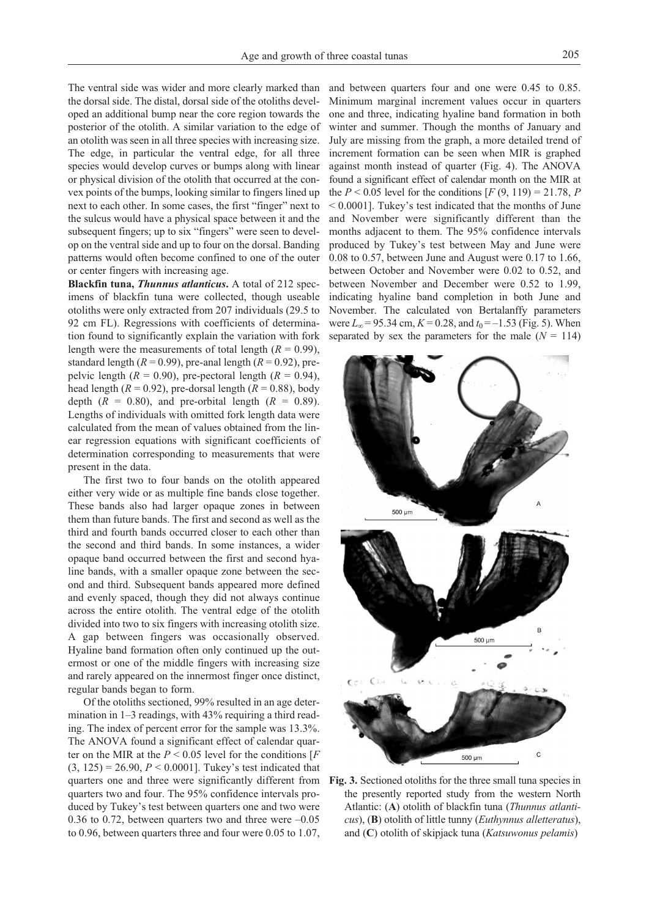The ventral side was wider and more clearly marked than the dorsal side. The distal, dorsal side of the otoliths developed an additional bump near the core region towards the posterior of the otolith. A similar variation to the edge of an otolith was seen in all three species with increasing size. The edge, in particular the ventral edge, for all three species would develop curves or bumps along with linear or physical division of the otolith that occurred at the convex points of the bumps, looking similar to fingers lined up next to each other. In some cases, the first "finger" next to the sulcus would have a physical space between it and the subsequent fingers; up to six "fingers" were seen to develop on the ventral side and up to four on the dorsal. Banding patterns would often become confined to one of the outer or center fingers with increasing age.

**Blackfin tuna,** *Thunnus atlanticus***.** A total of 212 specimens of blackfin tuna were collected, though useable otoliths were only extracted from 207 individuals (29.5 to 92 cm FL). Regressions with coefficients of determination found to significantly explain the variation with fork length were the measurements of total length  $(R = 0.99)$ , standard length ( $R = 0.99$ ), pre-anal length ( $R = 0.92$ ), prepelvic length ( $R = 0.90$ ), pre-pectoral length ( $R = 0.94$ ), head length ( $R = 0.92$ ), pre-dorsal length ( $R = 0.88$ ), body depth  $(R = 0.80)$ , and pre-orbital length  $(R = 0.89)$ . Lengths of individuals with omitted fork length data were calculated from the mean of values obtained from the linear regression equations with significant coefficients of determination corresponding to measurements that were present in the data.

The first two to four bands on the otolith appeared either very wide or as multiple fine bands close together. These bands also had larger opaque zones in between them than future bands. The first and second as well as the third and fourth bands occurred closer to each other than the second and third bands. In some instances, a wider opaque band occurred between the first and second hyaline bands, with a smaller opaque zone between the second and third. Subsequent bands appeared more defined and evenly spaced, though they did not always continue across the entire otolith. The ventral edge of the otolith divided into two to six fingers with increasing otolith size. A gap between fingers was occasionally observed. Hyaline band formation often only continued up the outermost or one of the middle fingers with increasing size and rarely appeared on the innermost finger once distinct, regular bands began to form.

Of the otoliths sectioned, 99% resulted in an age determination in  $1-3$  readings, with  $43\%$  requiring a third reading. The index of percent error for the sample was 13.3%. The ANOVA found a significant effect of calendar quarter on the MIR at the  $P \le 0.05$  level for the conditions [ $F$  $(3, 125) = 26.90, P < 0.0001$ . Tukey's test indicated that quarters one and three were significantly different from quarters two and four. The 95% confidence intervals produced by Tukey's test between quarters one and two were 0.36 to 0.72, between quarters two and three were  $-0.05$ to 0.96, between quarters three and four were 0.05 to 1.07,

and between quarters four and one were 0.45 to 0.85. Minimum marginal increment values occur in quarters one and three, indicating hyaline band formation in both winter and summer. Though the months of January and July are missing from the graph, a more detailed trend of increment formation can be seen when MIR is graphed against month instead of quarter (Fig. 4). The ANOVA found a significant effect of calendar month on the MIR at the *P* < 0.05 level for the conditions  $[F(9, 119) = 21.78$ , *P* < 0.0001]. Tukey's test indicated that the months of June and November were significantly different than the months adjacent to them. The 95% confidence intervals produced by Tukey's test between May and June were 0.08 to 0.57, between June and August were 0.17 to 1.66, between October and November were 0.02 to 0.52, and between November and December were 0.52 to 1.99, indicating hyaline band completion in both June and November. The calculated von Bertalanffy parameters were  $L_{\infty}$  = 95.34 cm,  $K$  = 0.28, and  $t_0$  = –1.53 (Fig. 5). When separated by sex the parameters for the male  $(N = 114)$ 



**Fig. 3.** Sectioned otoliths for the three small tuna species in the presently reported study from the western North Atlantic: (**A**) otolith of blackfin tuna (*Thunnus atlanticus*), (**B**) otolith of little tunny (*Euthynnus alletteratus*), and (**C**) otolith of skipjack tuna (*Katsuwonus pelamis*)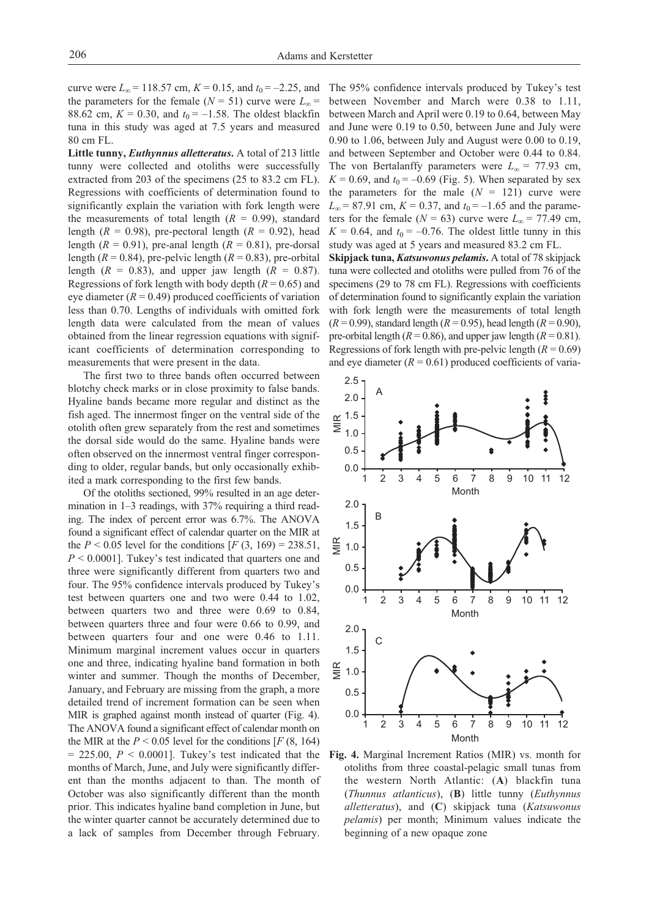curve were  $L_{\infty}$  = 118.57 cm,  $K$  = 0.15, and  $t_0$  = –2.25, and The 95% confidence intervals produced by Tukey's test the parameters for the female ( $N = 51$ ) curve were  $L_{\infty} =$ 88.62 cm,  $K = 0.30$ , and  $t_0 = -1.58$ . The oldest blackfin tuna in this study was aged at 7.5 years and measured 80 cm FL.

**Little tunny,** *Euthynnus alletteratus***.** A total of 213 little tunny were collected and otoliths were successfully extracted from 203 of the specimens (25 to 83.2 cm FL). Regressions with coefficients of determination found to significantly explain the variation with fork length were the measurements of total length  $(R = 0.99)$ , standard length ( $R = 0.98$ ), pre-pectoral length ( $R = 0.92$ ), head length  $(R = 0.91)$ , pre-anal length  $(R = 0.81)$ , pre-dorsal length ( $R = 0.84$ ), pre-pelvic length ( $R = 0.83$ ), pre-orbital length  $(R = 0.83)$ , and upper jaw length  $(R = 0.87)$ . Regressions of fork length with body depth  $(R = 0.65)$  and eye diameter  $(R = 0.49)$  produced coefficients of variation less than 0.70. Lengths of individuals with omitted fork length data were calculated from the mean of values obtained from the linear regression equations with significant coefficients of determination corresponding to measurements that were present in the data.

The first two to three bands often occurred between blotchy check marks or in close proximity to false bands. Hyaline bands became more regular and distinct as the fish aged. The innermost finger on the ventral side of the otolith often grew separately from the rest and sometimes the dorsal side would do the same. Hyaline bands were often observed on the innermost ventral finger corresponding to older, regular bands, but only occasionally exhibited a mark corresponding to the first few bands.

Of the otoliths sectioned, 99% resulted in an age determination in 1–3 readings, with 37% requiring a third reading. The index of percent error was 6.7%. The ANOVA found a significant effect of calendar quarter on the MIR at the *P* < 0.05 level for the conditions  $[F(3, 169) = 238.51]$ , *P* < 0.0001]. Tukey's test indicated that quarters one and three were significantly different from quarters two and four. The 95% confidence intervals produced by Tukey's test between quarters one and two were 0.44 to 1.02, between quarters two and three were 0.69 to 0.84, between quarters three and four were 0.66 to 0.99, and between quarters four and one were 0.46 to 1.11. Minimum marginal increment values occur in quarters one and three, indicating hyaline band formation in both winter and summer. Though the months of December, January, and February are missing from the graph, a more detailed trend of increment formation can be seen when MIR is graphed against month instead of quarter (Fig. 4). The ANOVA found a significant effect of calendar month on the MIR at the  $P < 0.05$  level for the conditions [ $F(8, 164)$ ]  $= 225.00$ ,  $P < 0.0001$ ]. Tukey's test indicated that the months of March, June, and July were significantly different than the months adjacent to than. The month of October was also significantly different than the month prior. This indicates hyaline band completion in June, but the winter quarter cannot be accurately determined due to a lack of samples from December through February.

between November and March were 0.38 to 1.11, between March and April were 0.19 to 0.64, between May and June were 0.19 to 0.50, between June and July were 0.90 to 1.06, between July and August were 0.00 to 0.19, and between September and October were 0.44 to 0.84. The von Bertalanffy parameters were  $L_{\infty}$  = 77.93 cm,  $K = 0.69$ , and  $t_0 = -0.69$  (Fig. 5). When separated by sex the parameters for the male  $(N = 121)$  curve were  $L_{\infty}$  = 87.91 cm,  $K = 0.37$ , and  $t_0 = -1.65$  and the parameters for the female ( $N = 63$ ) curve were  $L_{\infty} = 77.49$  cm,  $K = 0.64$ , and  $t_0 = -0.76$ . The oldest little tunny in this study was aged at 5 years and measured 83.2 cm FL.

**Skipjack tuna,** *Katsuwonus pelamis***.** A total of 78 skipjack tuna were collected and otoliths were pulled from 76 of the specimens (29 to 78 cm FL). Regressions with coefficients of determination found to significantly explain the variation with fork length were the measurements of total length  $(R = 0.99)$ , standard length  $(R = 0.95)$ , head length  $(R = 0.90)$ , pre-orbital length ( $R = 0.86$ ), and upper jaw length ( $R = 0.81$ ). Regressions of fork length with pre-pelvic length  $(R = 0.69)$ and eye diameter  $(R = 0.61)$  produced coefficients of varia-



**Fig. 4.** Marginal Increment Ratios (MIR) vs. month for otoliths from three coastal-pelagic small tunas from the western North Atlantic: (**A**) blackfin tuna (*Thunnus atlanticus*), (**B**) little tunny (*Euthynnus alletteratus*), and (**C**) skipjack tuna (*Katsuwonus pelamis*) per month; Minimum values indicate the beginning of a new opaque zone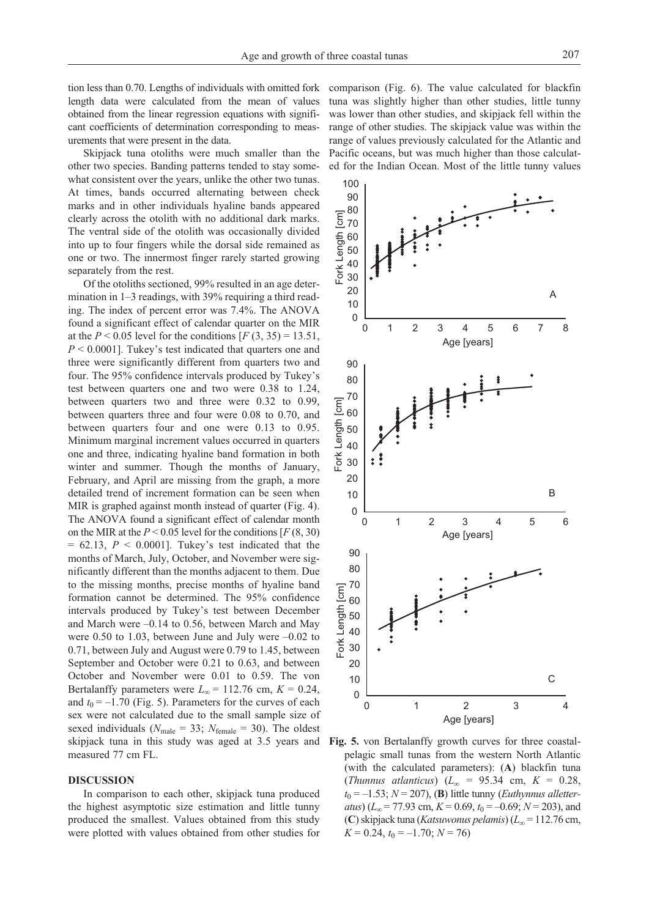tion less than 0.70. Lengths of individuals with omitted fork length data were calculated from the mean of values obtained from the linear regression equations with significant coefficients of determination corresponding to measurements that were present in the data.

Skipjack tuna otoliths were much smaller than the other two species. Banding patterns tended to stay somewhat consistent over the years, unlike the other two tunas. At times, bands occurred alternating between check marks and in other individuals hyaline bands appeared clearly across the otolith with no additional dark marks. The ventral side of the otolith was occasionally divided into up to four fingers while the dorsal side remained as one or two. The innermost finger rarely started growing separately from the rest.

Of the otoliths sectioned, 99% resulted in an age determination in 1–3 readings, with 39% requiring a third reading. The index of percent error was 7.4%. The ANOVA found a significant effect of calendar quarter on the MIR at the  $P < 0.05$  level for the conditions  $[F(3, 35) = 13.51]$ , *P* < 0.0001]. Tukey's test indicated that quarters one and three were significantly different from quarters two and four. The 95% confidence intervals produced by Tukey's test between quarters one and two were 0.38 to 1.24, between quarters two and three were 0.32 to 0.99, between quarters three and four were 0.08 to 0.70, and between quarters four and one were 0.13 to 0.95. Minimum marginal increment values occurred in quarters one and three, indicating hyaline band formation in both winter and summer. Though the months of January, February, and April are missing from the graph, a more detailed trend of increment formation can be seen when MIR is graphed against month instead of quarter (Fig. 4). The ANOVA found a significant effect of calendar month on the MIR at the  $P < 0.05$  level for the conditions  $[F(8, 30)]$  $= 62.13$ ,  $P < 0.0001$ ]. Tukey's test indicated that the months of March, July, October, and November were significantly different than the months adjacent to them. Due to the missing months, precise months of hyaline band formation cannot be determined. The 95% confidence intervals produced by Tukey's test between December and March were –0.14 to 0.56, between March and May were 0.50 to 1.03, between June and July were –0.02 to 0.71, between July and August were 0.79 to 1.45, between September and October were 0.21 to 0.63, and between October and November were 0.01 to 0.59. The von Bertalanffy parameters were  $L_{\infty}$  = 112.76 cm,  $K = 0.24$ , and  $t_0 = -1.70$  (Fig. 5). Parameters for the curves of each sex were not calculated due to the small sample size of sexed individuals ( $N_{\text{male}} = 33$ ;  $N_{\text{female}} = 30$ ). The oldest skipjack tuna in this study was aged at 3.5 years and measured 77 cm FL.

#### **DISCUSSION**

In comparison to each other, skipjack tuna produced the highest asymptotic size estimation and little tunny produced the smallest. Values obtained from this study were plotted with values obtained from other studies for comparison (Fig. 6). The value calculated for blackfin tuna was slightly higher than other studies, little tunny was lower than other studies, and skipjack fell within the range of other studies. The skipjack value was within the range of values previously calculated for the Atlantic and Pacific oceans, but was much higher than those calculated for the Indian Ocean. Most of the little tunny values



**Fig. 5.** von Bertalanffy growth curves for three coastalpelagic small tunas from the western North Atlantic (with the calculated parameters): (**A**) blackfin tuna (*Thunnus atlanticus*) (*L∞* = 95.34 cm, *K* = 0.28,  $t_0 = -1.53$ ;  $N = 207$ ), (**B**) little tunny (*Euthynnus alletteratus*) ( $L_{\infty}$  = 77.93 cm,  $K$  = 0.69,  $t_0$  = –0.69;  $N$  = 203), and (**C**)skipjack tuna (*Katsuwonus pelamis*) (*L∞* = 112.76 cm,  $K = 0.24$ ,  $t_0 = -1.70$ ;  $N = 76$ )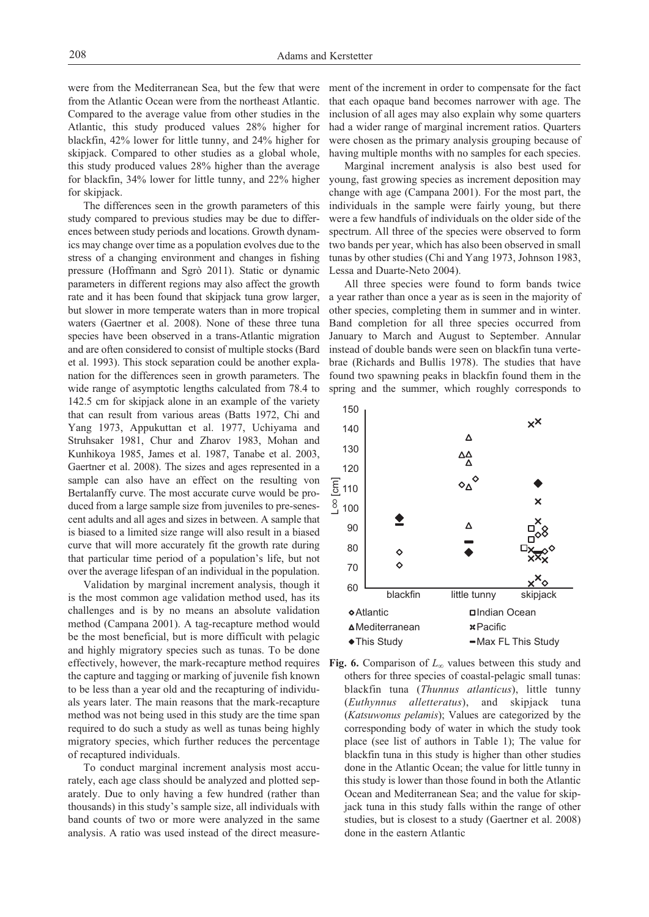were from the Mediterranean Sea, but the few that were from the Atlantic Ocean were from the northeast Atlantic. Compared to the average value from other studies in the Atlantic, this study produced values 28% higher for blackfin, 42% lower for little tunny, and 24% higher for skipjack. Compared to other studies as a global whole, this study produced values 28% higher than the average for blackfin, 34% lower for little tunny, and 22% higher for skipjack.

The differences seen in the growth parameters of this study compared to previous studies may be due to differences between study periods and locations. Growth dynamics may change over time as a population evolves due to the stress of a changing environment and changes in fishing pressure (Hoffmann and Sgrò 2011). Static or dynamic parameters in different regions may also affect the growth rate and it has been found that skipjack tuna grow larger, but slower in more temperate waters than in more tropical waters (Gaertner et al. 2008). None of these three tuna species have been observed in a trans-Atlantic migration and are often considered to consist of multiple stocks (Bard et al. 1993). This stock separation could be another explanation for the differences seen in growth parameters. The wide range of asymptotic lengths calculated from 78.4 to 142.5 cm for skipjack alone in an example of the variety that can result from various areas (Batts 1972, Chi and Yang 1973, Appukuttan et al. 1977, Uchiyama and Struhsaker 1981, Chur and Zharov 1983, Mohan and Kunhikoya 1985, James et al. 1987, Tanabe et al. 2003, Gaertner et al. 2008). The sizes and ages represented in a sample can also have an effect on the resulting von Bertalanffy curve. The most accurate curve would be produced from a large sample size from juveniles to pre-senescent adults and all ages and sizes in between. A sample that is biased to a limited size range will also result in a biased curve that will more accurately fit the growth rate during that particular time period of a population's life, but not over the average lifespan of an individual in the population.

Validation by marginal increment analysis, though it is the most common age validation method used, has its challenges and is by no means an absolute validation method (Campana 2001). A tag-recapture method would be the most beneficial, but is more difficult with pelagic and highly migratory species such as tunas. To be done effectively, however, the mark-recapture method requires the capture and tagging or marking of juvenile fish known to be less than a year old and the recapturing of individuals years later. The main reasons that the mark-recapture method was not being used in this study are the time span required to do such a study as well as tunas being highly migratory species, which further reduces the percentage of recaptured individuals.

To conduct marginal increment analysis most accurately, each age class should be analyzed and plotted separately. Due to only having a few hundred (rather than thousands) in this study's sample size, all individuals with band counts of two or more were analyzed in the same analysis. A ratio was used instead of the direct measurement of the increment in order to compensate for the fact that each opaque band becomes narrower with age. The inclusion of all ages may also explain why some quarters had a wider range of marginal increment ratios. Quarters were chosen as the primary analysis grouping because of having multiple months with no samples for each species.

Marginal increment analysis is also best used for young, fast growing species as increment deposition may change with age (Campana 2001). For the most part, the individuals in the sample were fairly young, but there were a few handfuls of individuals on the older side of the spectrum. All three of the species were observed to form two bands per year, which has also been observed in small tunas by other studies (Chi and Yang 1973, Johnson 1983, Lessa and Duarte-Neto 2004).

All three species were found to form bands twice a year rather than once a year as is seen in the majority of other species, completing them in summer and in winter. Band completion for all three species occurred from January to March and August to September. Annular instead of double bands were seen on blackfin tuna vertebrae (Richards and Bullis 1978). The studies that have found two spawning peaks in blackfin found them in the spring and the summer, which roughly corresponds to



**Fig. 6.** Comparison of *L∞* values between this study and others for three species of coastal-pelagic small tunas: blackfin tuna (*Thunnus atlanticus*), little tunny (*Euthynnus alletteratus*), and skipjack tuna (*Katsuwonus pelamis*); Values are categorized by the corresponding body of water in which the study took place (see list of authors in Table 1); The value for blackfin tuna in this study is higher than other studies done in the Atlantic Ocean; the value for little tunny in this study is lower than those found in both the Atlantic Ocean and Mediterranean Sea; and the value for skipjack tuna in this study falls within the range of other studies, but is closest to a study (Gaertner et al. 2008) done in the eastern Atlantic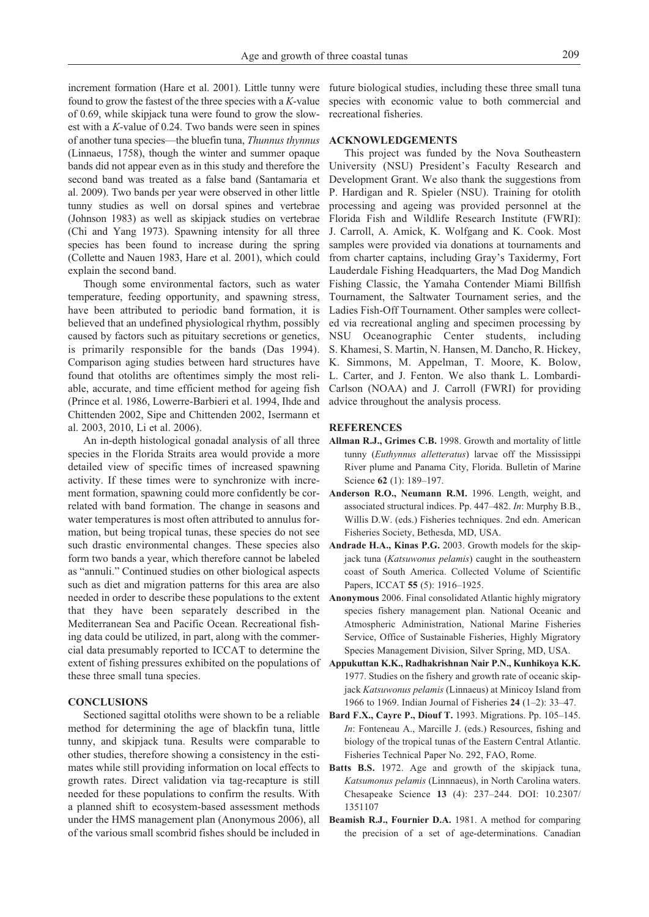increment formation (Hare et al. 2001). Little tunny were found to grow the fastest of the three species with a *K*-value of 0.69, while skipjack tuna were found to grow the slowest with a *K*-value of 0.24. Two bands were seen in spines of another tuna species—the bluefin tuna, *Thunnus thynnus* (Linnaeus, 1758), though the winter and summer opaque bands did not appear even as in this study and therefore the second band was treated as a false band (Santamaria et al. 2009). Two bands per year were observed in other little tunny studies as well on dorsal spines and vertebrae (Johnson 1983) as well as skipjack studies on vertebrae (Chi and Yang 1973). Spawning intensity for all three species has been found to increase during the spring (Collette and Nauen 1983, Hare et al. 2001), which could explain the second band.

Though some environmental factors, such as water temperature, feeding opportunity, and spawning stress, have been attributed to periodic band formation, it is believed that an undefined physiological rhythm, possibly caused by factors such as pituitary secretions or genetics, is primarily responsible for the bands (Das 1994). Comparison aging studies between hard structures have found that otoliths are oftentimes simply the most reliable, accurate, and time efficient method for ageing fish (Prince et al. 1986, Lowerre-Barbieri et al. 1994, Ihde and Chittenden 2002, Sipe and Chittenden 2002, Isermann et al. 2003, 2010, Li et al. 2006).

An in-depth histological gonadal analysis of all three species in the Florida Straits area would provide a more detailed view of specific times of increased spawning activity. If these times were to synchronize with increment formation, spawning could more confidently be correlated with band formation. The change in seasons and water temperatures is most often attributed to annulus formation, but being tropical tunas, these species do not see such drastic environmental changes. These species also form two bands a year, which therefore cannot be labeled as "annuli." Continued studies on other biological aspects such as diet and migration patterns for this area are also needed in order to describe these populations to the extent that they have been separately described in the Mediterranean Sea and Pacific Ocean. Recreational fishing data could be utilized, in part, along with the commercial data presumably reported to ICCAT to determine the extent of fishing pressures exhibited on the populations of these three small tuna species.

#### **CONCLUSIONS**

Sectioned sagittal otoliths were shown to be a reliable method for determining the age of blackfin tuna, little tunny, and skipjack tuna. Results were comparable to other studies, therefore showing a consistency in the estimates while still providing information on local effects to growth rates. Direct validation via tag-recapture is still needed for these populations to confirm the results. With a planned shift to ecosystem-based assessment methods under the HMS management plan (Anonymous 2006), all of the various small scombrid fishes should be included in

future biological studies, including these three small tuna species with economic value to both commercial and recreational fisheries.

#### **ACKNOWLEDGEMENTS**

This project was funded by the Nova Southeastern University (NSU) President's Faculty Research and Development Grant. We also thank the suggestions from P. Hardigan and R. Spieler (NSU). Training for otolith processing and ageing was provided personnel at the Florida Fish and Wildlife Research Institute (FWRI): J. Carroll, A. Amick, K. Wolfgang and K. Cook. Most samples were provided via donations at tournaments and from charter captains, including Gray's Taxidermy, Fort Lauderdale Fishing Headquarters, the Mad Dog Mandich Fishing Classic, the Yamaha Contender Miami Billfish Tournament, the Saltwater Tournament series, and the Ladies Fish-Off Tournament. Other samples were collected via recreational angling and specimen processing by NSU Oceanographic Center students, including S. Khamesi, S. Martin, N. Hansen, M. Dancho, R. Hickey, K. Simmons, M. Appelman, T. Moore, K. Bolow, L. Carter, and J. Fenton. We also thank L. Lombardi-Carlson (NOAA) and J. Carroll (FWRI) for providing advice throughout the analysis process.

#### **REFERENCES**

- **Allman R.J., Grimes C.B.** 1998. Growth and mortality of little tunny (*Euthynnus alletteratus*) larvae off the Mississippi River plume and Panama City, Florida. Bulletin of Marine Science **62** (1): 189–197.
- **Anderson R.O., Neumann R.M.** 1996. Length, weight, and associated structural indices. Pp. 447–482. *In*: Murphy B.B., Willis D.W. (eds.) Fisheries techniques. 2nd edn. American Fisheries Society, Bethesda, MD, USA.
- **Andrade H.A., Kinas P.G.** 2003. Growth models for the skipjack tuna (*Katsuwonus pelamis*) caught in the southeastern coast of South America. Collected Volume of Scientific Papers, ICCAT **55** (5): 1916–1925.
- **Anonymous** 2006. Final consolidated Atlantic highly migratory species fishery management plan. National Oceanic and Atmospheric Administration, National Marine Fisheries Service, Office of Sustainable Fisheries, Highly Migratory Species Management Division, Silver Spring, MD, USA.
- **Appukuttan K.K., Radhakrishnan Nair P.N., Kunhikoya K.K.** 1977. Studies on the fishery and growth rate of oceanic skipjack *Katsuwonus pelamis* (Linnaeus) at Minicoy Island from 1966 to 1969. Indian Journal of Fisheries **24** (1–2): 33–47.
- **Bard F.X., Cayre P., Diouf T.** 1993. Migrations. Pp. 105–145. *In*: Fonteneau A., Marcille J. (eds.) Resources, fishing and biology of the tropical tunas of the Eastern Central Atlantic. Fisheries Technical Paper No. 292, FAO, Rome.
- **Batts B.S.** 1972. Age and growth of the skipjack tuna, *Katsumonus pelamis* (Linnnaeus), in North Carolina waters. Chesapeake Science **13** (4): 237–244. DOI: 10.2307/ 1351107
- **Beamish R.J., Fournier D.A.** 1981. A method for comparing the precision of a set of age-determinations. Canadian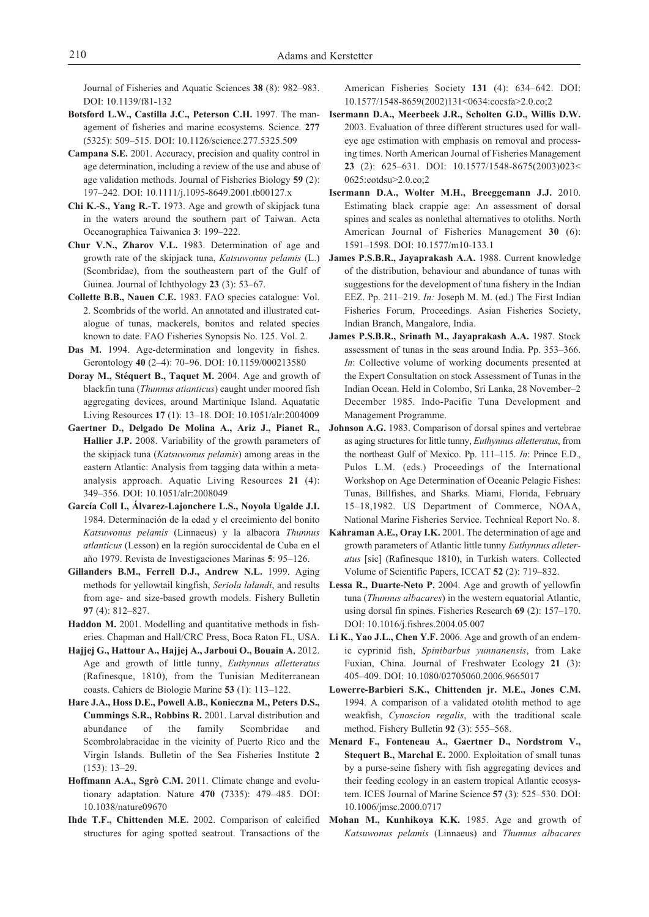Journal of Fisheries and Aquatic Sciences **38** (8): 982–983. DOI: 10.1139/f81-132

- **Botsford L.W., Castilla J.C., Peterson C.H.** 1997. The management of fisheries and marine ecosystems. Science. **277** (5325): 509–515. DOI: 10.1126/science.277.5325.509
- **Campana S.E.** 2001. Accuracy, precision and quality control in age determination, including a review of the use and abuse of age validation methods. Journal of Fisheries Biology **59** (2): 197–242. DOI: 10.1111/j.1095-8649.2001.tb00127.x
- **Chi K.-S., Yang R.-T.** 1973. Age and growth of skipjack tuna in the waters around the southern part of Taiwan. Acta Oceanographica Taiwanica **3**: 199–222.
- **Chur V.N., Zharov V.L.** 1983. Determination of age and growth rate of the skipjack tuna, *Katsuwonus pelamis* (L.) (Scombridae), from the southeastern part of the Gulf of Guinea. Journal of Ichthyology **23** (3): 53–67.
- **Collette B.B., Nauen C.E.** 1983. FAO species catalogue: Vol. 2. Scombrids of the world. An annotated and illustrated catalogue of tunas, mackerels, bonitos and related species known to date. FAO Fisheries Synopsis No. 125. Vol. 2.
- **Das M.** 1994. Age-determination and longevity in fishes. Gerontology **40** (2–4): 70–96. DOI: 10.1159/000213580
- **Doray M., Stéquert B., Taquet M.** 2004. Age and growth of blackfin tuna (*Thunnus atianticus*) caught under moored fish aggregating devices, around Martinique Island. Aquatatic Living Resources **17** (1): 13–18. DOI: 10.1051/alr:2004009
- **Gaertner D., Delgado De Molina A., Ariz J., Pianet R., Hallier J.P.** 2008. Variability of the growth parameters of the skipjack tuna (*Katsuwonus pelamis*) among areas in the eastern Atlantic: Analysis from tagging data within a metaanalysis approach. Aquatic Living Resources **21** (4): 349–356. DOI: 10.1051/alr:2008049
- **García Coll I., Álvarez-Lajonchere L.S., Noyola Ugalde J.I.** 1984. Determinación de la edad y el crecimiento del bonito *Katsuwonus pelamis* (Linnaeus) y la albacora *Thunnus atlanticus* (Lesson) en la región suroccidental de Cuba en el año 1979. Revista de Investigaciones Marinas **5**: 95–126.
- **Gillanders B.M., Ferrell D.J., Andrew N.L.** 1999. Aging methods for yellowtail kingfish, *Seriola lalandi*, and results from age- and size-based growth models. Fishery Bulletin **97** (4): 812–827.
- **Haddon M.** 2001. Modelling and quantitative methods in fisheries. Chapman and Hall/CRC Press, Boca Raton FL, USA.
- **Hajjej G., Hattour A., Hajjej A., Jarboui O., Bouain A.** 2012. Age and growth of little tunny, *Euthynnus alletteratus* (Rafinesque, 1810), from the Tunisian Mediterranean coasts. Cahiers de Biologie Marine **53** (1): 113–122.
- **Hare J.A., Hoss D.E., Powell A.B., Konieczna M., Peters D.S., Cummings S.R., Robbins R.** 2001. Larval distribution and abundance of the family Scombridae and Scombrolabracidae in the vicinity of Puerto Rico and the Virgin Islands. Bulletin of the Sea Fisheries Institute **2** (153): 13–29.
- **Hoffmann A.A., Sgrò C.M.** 2011. Climate change and evolutionary adaptation. Nature **470** (7335): 479–485. DOI: 10.1038/nature09670
- **Ihde T.F., Chittenden M.E.** 2002. Comparison of calcified structures for aging spotted seatrout. Transactions of the

American Fisheries Society **131** (4): 634–642. DOI: 10.1577/1548-8659(2002)131<0634:cocsfa>2.0.co;2

- **Isermann D.A., Meerbeek J.R., Scholten G.D., Willis D.W.** 2003. Evaluation of three different structures used for walleye age estimation with emphasis on removal and processing times. North American Journal of Fisheries Management **23** (2): 625–631. DOI: 10.1577/1548-8675(2003)023< 0625:eotdsu>2.0.co;2
- **Isermann D.A., Wolter M.H., Breeggemann J.J.** 2010. Estimating black crappie age: An assessment of dorsal spines and scales as nonlethal alternatives to otoliths. North American Journal of Fisheries Management **30** (6): 1591–1598. DOI: 10.1577/m10-133.1
- **James P.S.B.R., Jayaprakash A.A.** 1988. Current knowledge of the distribution, behaviour and abundance of tunas with suggestions for the development of tuna fishery in the Indian EEZ. Pp. 211–219. *In:* Joseph M. M. (ed.) The First Indian Fisheries Forum, Proceedings. Asian Fisheries Society, Indian Branch, Mangalore, India.
- **James P.S.B.R., Srinath M., Jayaprakash A.A.** 1987. Stock assessment of tunas in the seas around India. Pp. 353–366. *In*: Collective volume of working documents presented at the Expert Consultation on stock Assessment of Tunas in the Indian Ocean. Held in Colombo, Sri Lanka, 28 November–2 December 1985. Indo-Pacific Tuna Development and Management Programme.
- **Johnson A.G.** 1983. Comparison of dorsal spines and vertebrae as aging structures for little tunny, *Euthynnus alletteratus*, from the northeast Gulf of Mexico. Pp. 111–115. *In*: Prince E.D., Pulos L.M. (eds.) Proceedings of the International Workshop on Age Determination of Oceanic Pelagic Fishes: Tunas, Billfishes, and Sharks. Miami, Florida, February 15–18,1982. US Department of Commerce, NOAA, National Marine Fisheries Service. Technical Report No. 8.
- **Kahraman A.E., Oray I.K.** 2001. The determination of age and growth parameters of Atlantic little tunny *Euthynnus alleteratus* [sic] (Rafinesque 1810), in Turkish waters. Collected Volume of Scientific Papers, ICCAT **52** (2): 719–832.
- **Lessa R., Duarte-Neto P.** 2004. Age and growth of yellowfin tuna (*Thunnus albacares*) in the western equatorial Atlantic, using dorsal fin spines. Fisheries Research **69** (2): 157–170. DOI: 10.1016/j.fishres.2004.05.007
- **Li K., Yao J.L., Chen Y.F.** 2006. Age and growth of an endemic cyprinid fish, *Spinibarbus yunnanensis*, from Lake Fuxian, China. Journal of Freshwater Ecology **21** (3): 405–409. DOI: 10.1080/02705060.2006.9665017
- **Lowerre-Barbieri S.K., Chittenden jr. M.E., Jones C.M.** 1994. A comparison of a validated otolith method to age weakfish, *Cynoscion regalis*, with the traditional scale method. Fishery Bulletin **92** (3): 555–568.
- **Menard F., Fonteneau A., Gaertner D., Nordstrom V., Stequert B., Marchal E.** 2000. Exploitation of small tunas by a purse-seine fishery with fish aggregating devices and their feeding ecology in an eastern tropical Atlantic ecosystem. ICES Journal of Marine Science **57** (3): 525–530. DOI: 10.1006/jmsc.2000.0717
- **Mohan M., Kunhikoya K.K.** 1985. Age and growth of *Katsuwonus pelamis* (Linnaeus) and *Thunnus albacares*